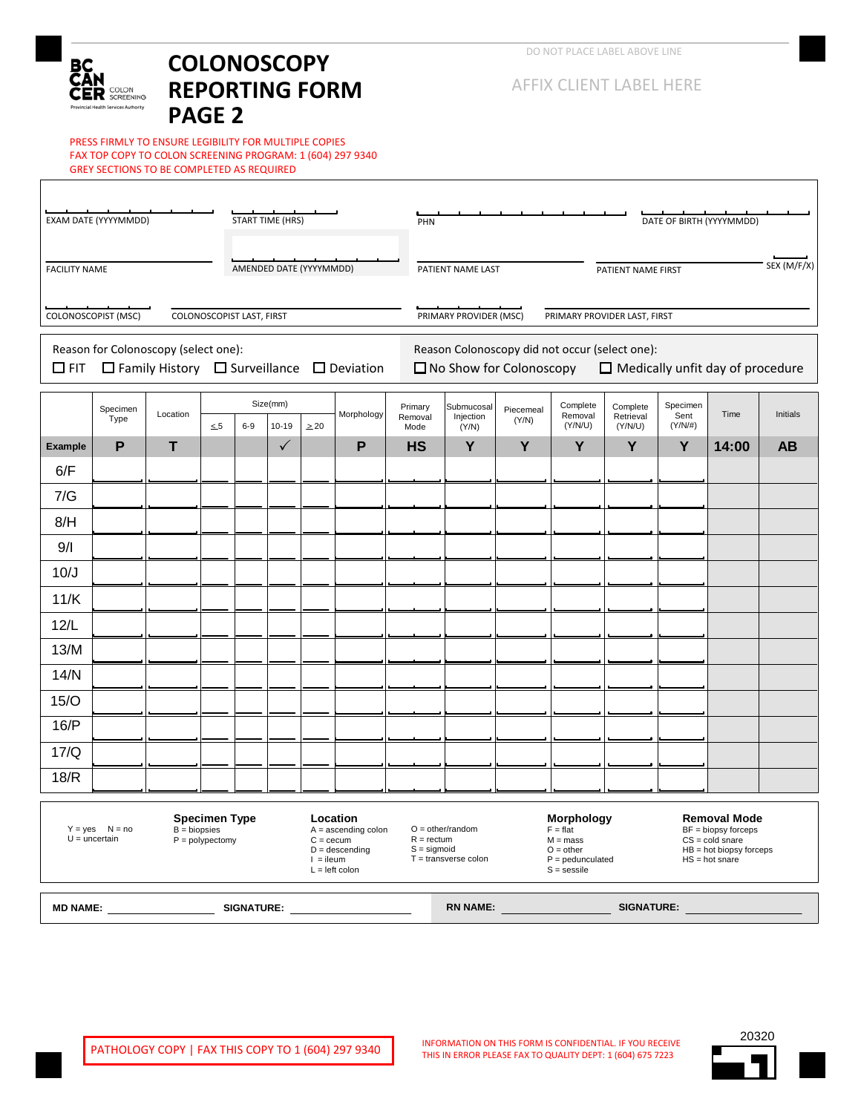## вc R SCREENING an Araba

# **COLONOSCOPY REPORTING FORM PAGE 2**

PRESS FIRMLY TO ENSURE LEGIBILITY FOR MULTIPLE COPIES FAX TOP COPY TO COLON SCREENING PROGRAM: 1 (604) 297 9340 GREY SECTIONS TO BE COMPLETED AS REQUIRED

| EXAM DATE (YYYYMMDD)<br><b>START TIME (HRS)</b>                                                                                                                                                                                              |                                      |                                                            |                           |          |                            |                                                                           | DATE OF BIRTH (YYYYMMDD)<br>PHN         |                                                                                                                                                                                                                                                                                              |                                                                                                                             |                    |                     |                       |                  |       |           |  |
|----------------------------------------------------------------------------------------------------------------------------------------------------------------------------------------------------------------------------------------------|--------------------------------------|------------------------------------------------------------|---------------------------|----------|----------------------------|---------------------------------------------------------------------------|-----------------------------------------|----------------------------------------------------------------------------------------------------------------------------------------------------------------------------------------------------------------------------------------------------------------------------------------------|-----------------------------------------------------------------------------------------------------------------------------|--------------------|---------------------|-----------------------|------------------|-------|-----------|--|
| <b>FACILITY NAME</b><br>AMENDED DATE (YYYYMMDD)                                                                                                                                                                                              |                                      |                                                            |                           |          |                            |                                                                           | PATIENT NAME LAST<br>PATIENT NAME FIRST |                                                                                                                                                                                                                                                                                              |                                                                                                                             |                    |                     |                       | SEX (M/F/X)      |       |           |  |
|                                                                                                                                                                                                                                              | COLONOSCOPIST (MSC)                  |                                                            | COLONOSCOPIST LAST, FIRST |          |                            |                                                                           |                                         |                                                                                                                                                                                                                                                                                              | PRIMARY PROVIDER (MSC)<br>PRIMARY PROVIDER LAST, FIRST                                                                      |                    |                     |                       |                  |       |           |  |
| $\Box$ FIT                                                                                                                                                                                                                                   | Reason for Colonoscopy (select one): | $\Box$ Family History $\Box$ Surveillance $\Box$ Deviation |                           |          |                            |                                                                           |                                         |                                                                                                                                                                                                                                                                                              | Reason Colonoscopy did not occur (select one):<br>$\Box$ No Show for Colonoscopy<br>$\Box$ Medically unfit day of procedure |                    |                     |                       |                  |       |           |  |
|                                                                                                                                                                                                                                              | Specimen<br>Type                     | Location                                                   |                           | Size(mm) |                            |                                                                           | Morphology                              | Primary<br>Removal                                                                                                                                                                                                                                                                           | Submucosal<br>Injection                                                                                                     | Piecemeal<br>(Y/N) | Complete<br>Removal | Complete<br>Retrieval | Specimen<br>Sent | Time  | Initials  |  |
| <b>Example</b>                                                                                                                                                                                                                               | P                                    | T                                                          | $\leq 5$                  | $6-9$    | $10 - 19$<br>$\checkmark$  | $\geq 20$                                                                 | P                                       | Mode<br><b>HS</b>                                                                                                                                                                                                                                                                            | (Y/N)<br>Y                                                                                                                  | Y                  | (Y/N/U)<br>Y        | (Y/N/U)<br>Y          | $(Y/N/\#)$<br>Y  | 14:00 | <b>AB</b> |  |
| 6/F                                                                                                                                                                                                                                          |                                      |                                                            |                           |          |                            |                                                                           |                                         |                                                                                                                                                                                                                                                                                              |                                                                                                                             |                    |                     |                       |                  |       |           |  |
| 7/G                                                                                                                                                                                                                                          |                                      |                                                            |                           |          |                            |                                                                           |                                         |                                                                                                                                                                                                                                                                                              |                                                                                                                             |                    |                     |                       |                  |       |           |  |
| 8/H                                                                                                                                                                                                                                          |                                      |                                                            |                           |          |                            |                                                                           |                                         |                                                                                                                                                                                                                                                                                              |                                                                                                                             |                    |                     |                       |                  |       |           |  |
| 9/1                                                                                                                                                                                                                                          |                                      |                                                            |                           |          |                            |                                                                           |                                         |                                                                                                                                                                                                                                                                                              |                                                                                                                             |                    |                     |                       |                  |       |           |  |
| 10/J                                                                                                                                                                                                                                         |                                      |                                                            |                           |          |                            |                                                                           |                                         |                                                                                                                                                                                                                                                                                              |                                                                                                                             |                    |                     |                       |                  |       |           |  |
| 11/K                                                                                                                                                                                                                                         |                                      |                                                            |                           |          |                            |                                                                           |                                         |                                                                                                                                                                                                                                                                                              |                                                                                                                             |                    |                     |                       |                  |       |           |  |
| 12/L                                                                                                                                                                                                                                         |                                      |                                                            |                           |          |                            |                                                                           |                                         |                                                                                                                                                                                                                                                                                              |                                                                                                                             |                    |                     |                       |                  |       |           |  |
| 13/M                                                                                                                                                                                                                                         |                                      |                                                            |                           |          |                            |                                                                           |                                         |                                                                                                                                                                                                                                                                                              |                                                                                                                             |                    |                     |                       |                  |       |           |  |
| 14/N                                                                                                                                                                                                                                         |                                      |                                                            |                           |          |                            |                                                                           |                                         |                                                                                                                                                                                                                                                                                              |                                                                                                                             |                    |                     |                       |                  |       |           |  |
| 15/O                                                                                                                                                                                                                                         |                                      |                                                            |                           |          |                            |                                                                           |                                         |                                                                                                                                                                                                                                                                                              |                                                                                                                             |                    |                     |                       |                  |       |           |  |
| 16/P                                                                                                                                                                                                                                         |                                      |                                                            |                           |          |                            |                                                                           |                                         |                                                                                                                                                                                                                                                                                              |                                                                                                                             |                    |                     |                       |                  |       |           |  |
| 17/Q                                                                                                                                                                                                                                         |                                      |                                                            |                           |          |                            |                                                                           |                                         |                                                                                                                                                                                                                                                                                              |                                                                                                                             |                    |                     |                       |                  |       |           |  |
| 18/R                                                                                                                                                                                                                                         |                                      |                                                            |                           |          |                            |                                                                           |                                         |                                                                                                                                                                                                                                                                                              |                                                                                                                             |                    |                     |                       |                  |       |           |  |
| <b>Specimen Type</b><br>$Y = yes$ $N = no$<br>$B = biopsies$<br>$U =$ uncertain<br>$P = polypectomy$                                                                                                                                         |                                      |                                                            |                           |          | $C = cecum$<br>$l =$ ileum | Location<br>$A =$ ascending colon<br>$D =$ descending<br>$L = left$ colon |                                         | Morphology<br><b>Removal Mode</b><br>$O = other/random$<br>$BF = biopy$ forceps<br>$F = flat$<br>$R = rectum$<br>$M = mass$<br>$CS = cold\,$<br>$S =$ sigmoid<br>$O = other$<br>$HB = hot biopy forces$<br>$T =$ transverse colon<br>$P =$ pedunculated<br>$HS = hot share$<br>$S =$ sessile |                                                                                                                             |                    |                     |                       |                  |       |           |  |
| SIGNATURE:<br>MD NAME: And the state of the state of the state of the state of the state of the state of the state of the state of the state of the state of the state of the state of the state of the state of the state of the state of t |                                      |                                                            |                           |          |                            |                                                                           |                                         | <b>RN NAME:</b>                                                                                                                                                                                                                                                                              |                                                                                                                             |                    | <b>SIGNATURE:</b>   |                       |                  |       |           |  |

INFORMATION ON THIS FORM IS CONFIDENTIAL. IF YOU RECEIVE THIS IN ERROR PLEASE FAX TO QUALITY DEPT: 1 (604) 675 7223

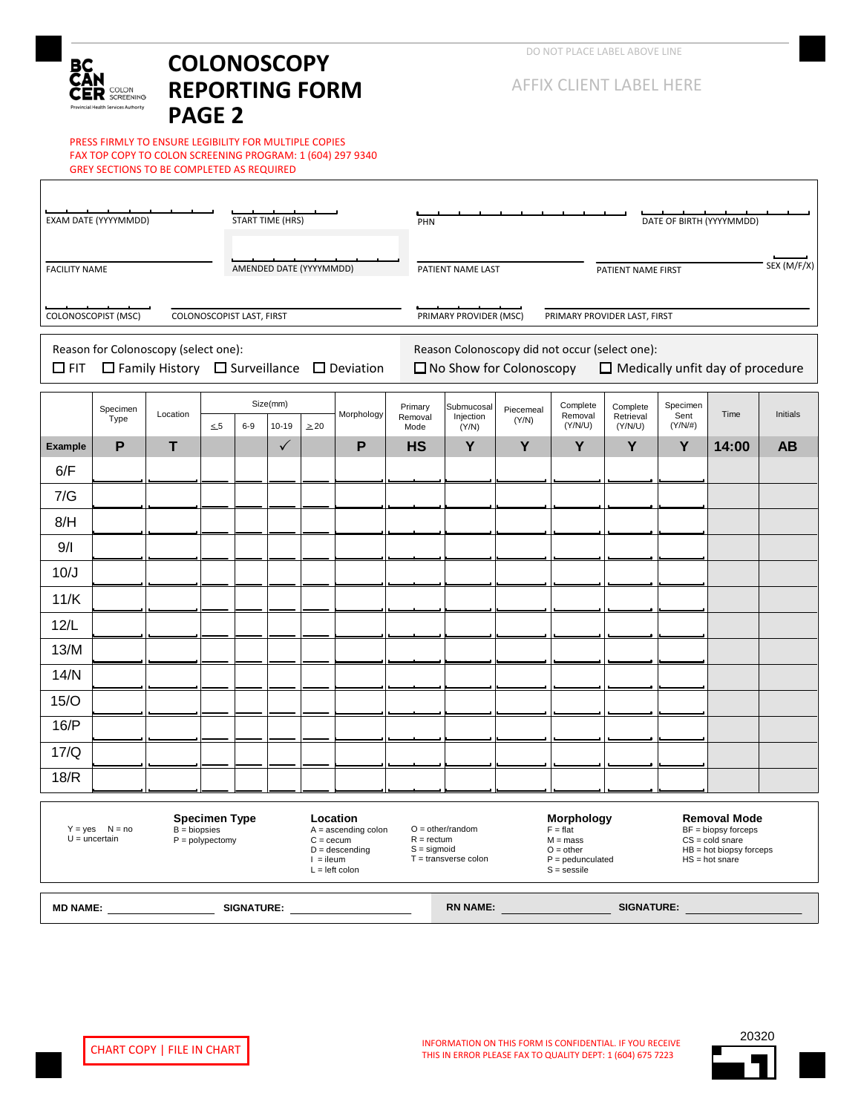## вc R COLON an Araba

# **COLONOSCOPY REPORTING FORM PAGE 2**

PRESS FIRMLY TO ENSURE LEGIBILITY FOR MULTIPLE COPIES FAX TOP COPY TO COLON SCREENING PROGRAM: 1 (604) 297 9340 GREY SECTIONS TO BE COMPLETED AS REQUIRED

| EXAM DATE (YYYYMMDD)<br><b>START TIME (HRS)</b>                                                                                                                                        |                                      |                                                            |          |       |                       |                         |   | PHN                                                                                                                                                                                                                                                                                          |                                                                                                                                                                                                                                                                                                                                                                                                                        |  |                   |  | DATE OF BIRTH (YYYYMMDD) |  |           |  |  |  |
|----------------------------------------------------------------------------------------------------------------------------------------------------------------------------------------|--------------------------------------|------------------------------------------------------------|----------|-------|-----------------------|-------------------------|---|----------------------------------------------------------------------------------------------------------------------------------------------------------------------------------------------------------------------------------------------------------------------------------------------|------------------------------------------------------------------------------------------------------------------------------------------------------------------------------------------------------------------------------------------------------------------------------------------------------------------------------------------------------------------------------------------------------------------------|--|-------------------|--|--------------------------|--|-----------|--|--|--|
| AMENDED DATE (YYYYMMDD)<br><b>FACILITY NAME</b>                                                                                                                                        |                                      |                                                            |          |       |                       |                         |   |                                                                                                                                                                                                                                                                                              | PATIENT NAME LAST<br>PATIENT NAME FIRST<br>PRIMARY PROVIDER (MSC)<br>PRIMARY PROVIDER LAST, FIRST<br>Reason Colonoscopy did not occur (select one):<br>$\Box$ No Show for Colonoscopy<br>Complete<br>Specimen<br>Complete<br>Submucosal<br>Piecemeal<br>Time<br>Sent<br>Removal<br>Retrieval<br>Injection<br>(Y/N)<br>(Y/N/U)<br>$(Y/N/\#)$<br>(Y/N/U)<br>Mode<br>(Y/N)<br>Y<br>Y<br>Y<br>Y<br>Y<br><b>HS</b><br>14:00 |  |                   |  |                          |  |           |  |  |  |
| COLONOSCOPIST (MSC)<br>COLONOSCOPIST LAST, FIRST                                                                                                                                       |                                      |                                                            |          |       |                       |                         |   |                                                                                                                                                                                                                                                                                              |                                                                                                                                                                                                                                                                                                                                                                                                                        |  |                   |  |                          |  |           |  |  |  |
| $\Box$ FIT                                                                                                                                                                             | Reason for Colonoscopy (select one): | $\Box$ Family History $\Box$ Surveillance $\Box$ Deviation |          |       |                       |                         |   |                                                                                                                                                                                                                                                                                              | $\Box$ Medically unfit day of procedure                                                                                                                                                                                                                                                                                                                                                                                |  |                   |  |                          |  |           |  |  |  |
|                                                                                                                                                                                        | Specimen<br>Type                     | Location                                                   | $\leq 5$ | $6-9$ | Size(mm)<br>$10 - 19$ | Morphology<br>$\geq 20$ |   | Primary<br>Removal                                                                                                                                                                                                                                                                           |                                                                                                                                                                                                                                                                                                                                                                                                                        |  |                   |  |                          |  | Initials  |  |  |  |
| <b>Example</b>                                                                                                                                                                         | P                                    | т                                                          |          |       | $\checkmark$          |                         | P |                                                                                                                                                                                                                                                                                              |                                                                                                                                                                                                                                                                                                                                                                                                                        |  |                   |  |                          |  | <b>AB</b> |  |  |  |
| 6/F                                                                                                                                                                                    |                                      |                                                            |          |       |                       |                         |   |                                                                                                                                                                                                                                                                                              |                                                                                                                                                                                                                                                                                                                                                                                                                        |  |                   |  |                          |  |           |  |  |  |
| 7/G                                                                                                                                                                                    |                                      |                                                            |          |       |                       |                         |   |                                                                                                                                                                                                                                                                                              |                                                                                                                                                                                                                                                                                                                                                                                                                        |  |                   |  |                          |  |           |  |  |  |
| 8/H                                                                                                                                                                                    |                                      |                                                            |          |       |                       |                         |   |                                                                                                                                                                                                                                                                                              |                                                                                                                                                                                                                                                                                                                                                                                                                        |  |                   |  |                          |  |           |  |  |  |
| 9/1                                                                                                                                                                                    |                                      |                                                            |          |       |                       |                         |   |                                                                                                                                                                                                                                                                                              |                                                                                                                                                                                                                                                                                                                                                                                                                        |  |                   |  |                          |  |           |  |  |  |
| 10/J                                                                                                                                                                                   |                                      |                                                            |          |       |                       |                         |   |                                                                                                                                                                                                                                                                                              |                                                                                                                                                                                                                                                                                                                                                                                                                        |  |                   |  |                          |  |           |  |  |  |
| 11/K                                                                                                                                                                                   |                                      |                                                            |          |       |                       |                         |   |                                                                                                                                                                                                                                                                                              |                                                                                                                                                                                                                                                                                                                                                                                                                        |  |                   |  |                          |  |           |  |  |  |
| 12/L                                                                                                                                                                                   |                                      |                                                            |          |       |                       |                         |   |                                                                                                                                                                                                                                                                                              |                                                                                                                                                                                                                                                                                                                                                                                                                        |  |                   |  |                          |  |           |  |  |  |
| 13/M                                                                                                                                                                                   |                                      |                                                            |          |       |                       |                         |   |                                                                                                                                                                                                                                                                                              |                                                                                                                                                                                                                                                                                                                                                                                                                        |  |                   |  |                          |  |           |  |  |  |
| 14/N                                                                                                                                                                                   |                                      |                                                            |          |       |                       |                         |   |                                                                                                                                                                                                                                                                                              |                                                                                                                                                                                                                                                                                                                                                                                                                        |  |                   |  |                          |  |           |  |  |  |
| 15/O                                                                                                                                                                                   |                                      |                                                            |          |       |                       |                         |   |                                                                                                                                                                                                                                                                                              |                                                                                                                                                                                                                                                                                                                                                                                                                        |  |                   |  |                          |  |           |  |  |  |
| 16/P                                                                                                                                                                                   |                                      |                                                            |          |       |                       |                         |   |                                                                                                                                                                                                                                                                                              |                                                                                                                                                                                                                                                                                                                                                                                                                        |  |                   |  |                          |  |           |  |  |  |
| 17/Q                                                                                                                                                                                   |                                      |                                                            |          |       |                       |                         |   |                                                                                                                                                                                                                                                                                              |                                                                                                                                                                                                                                                                                                                                                                                                                        |  |                   |  |                          |  |           |  |  |  |
| 18/R                                                                                                                                                                                   |                                      |                                                            |          |       |                       |                         |   |                                                                                                                                                                                                                                                                                              |                                                                                                                                                                                                                                                                                                                                                                                                                        |  |                   |  |                          |  |           |  |  |  |
| <b>Specimen Type</b><br>Location<br>$Y = yes$ $N = no$<br>$B = biopsies$<br>$U =$ uncertain<br>$P = polypectomy$<br>$C = cecum$<br>$D =$ descending<br>$l =$ ileum<br>$L = left$ colon |                                      |                                                            |          |       |                       | $A =$ ascending colon   |   | Morphology<br><b>Removal Mode</b><br>$O = other/random$<br>$BF = biopy$ forceps<br>$F = flat$<br>$R = rectum$<br>$CS = cold\,$<br>$M = mass$<br>$S =$ sigmoid<br>$O = other$<br>$HB = hot biopy forces$<br>$T =$ transverse colon<br>$P =$ pedunculated<br>$HS = hot share$<br>$S =$ sessile |                                                                                                                                                                                                                                                                                                                                                                                                                        |  |                   |  |                          |  |           |  |  |  |
| <b>RN NAME:</b><br>SIGNATURE:<br><b>MD NAME:</b>                                                                                                                                       |                                      |                                                            |          |       |                       |                         |   |                                                                                                                                                                                                                                                                                              |                                                                                                                                                                                                                                                                                                                                                                                                                        |  | <b>SIGNATURE:</b> |  |                          |  |           |  |  |  |

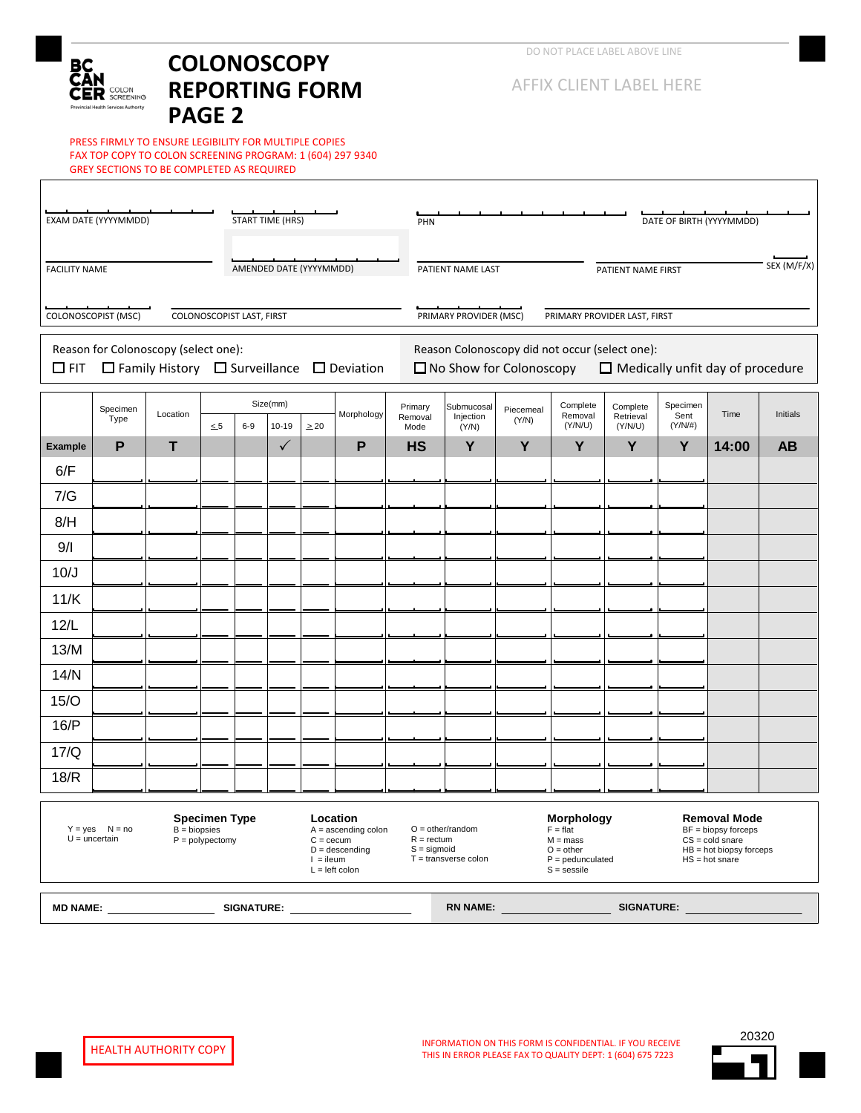## вc R COLON an Araba

# **COLONOSCOPY REPORTING FORM PAGE 2**

PRESS FIRMLY TO ENSURE LEGIBILITY FOR MULTIPLE COPIES FAX TOP COPY TO COLON SCREENING PROGRAM: 1 (604) 297 9340 GREY SECTIONS TO BE COMPLETED AS REQUIRED

| EXAM DATE (YYYYMMDD)<br><b>START TIME (HRS)</b>                                                                                                                                        |                                      |                                                            |          |       |                       |                         |   | PHN                                                                                                                                                                                                                                                                                          |                                                                                                                                                                                                                                                                                                                                                                                                                        |  |                   |  | DATE OF BIRTH (YYYYMMDD) |  |           |  |  |  |
|----------------------------------------------------------------------------------------------------------------------------------------------------------------------------------------|--------------------------------------|------------------------------------------------------------|----------|-------|-----------------------|-------------------------|---|----------------------------------------------------------------------------------------------------------------------------------------------------------------------------------------------------------------------------------------------------------------------------------------------|------------------------------------------------------------------------------------------------------------------------------------------------------------------------------------------------------------------------------------------------------------------------------------------------------------------------------------------------------------------------------------------------------------------------|--|-------------------|--|--------------------------|--|-----------|--|--|--|
| AMENDED DATE (YYYYMMDD)<br><b>FACILITY NAME</b>                                                                                                                                        |                                      |                                                            |          |       |                       |                         |   |                                                                                                                                                                                                                                                                                              | PATIENT NAME LAST<br>PATIENT NAME FIRST<br>PRIMARY PROVIDER (MSC)<br>PRIMARY PROVIDER LAST, FIRST<br>Reason Colonoscopy did not occur (select one):<br>$\Box$ No Show for Colonoscopy<br>Complete<br>Specimen<br>Complete<br>Submucosal<br>Piecemeal<br>Time<br>Sent<br>Removal<br>Retrieval<br>Injection<br>(Y/N)<br>(Y/N/U)<br>$(Y/N/\#)$<br>(Y/N/U)<br>Mode<br>(Y/N)<br>Y<br>Y<br>Y<br>Y<br>Y<br><b>HS</b><br>14:00 |  |                   |  |                          |  |           |  |  |  |
| COLONOSCOPIST (MSC)<br>COLONOSCOPIST LAST, FIRST                                                                                                                                       |                                      |                                                            |          |       |                       |                         |   |                                                                                                                                                                                                                                                                                              |                                                                                                                                                                                                                                                                                                                                                                                                                        |  |                   |  |                          |  |           |  |  |  |
| $\Box$ FIT                                                                                                                                                                             | Reason for Colonoscopy (select one): | $\Box$ Family History $\Box$ Surveillance $\Box$ Deviation |          |       |                       |                         |   |                                                                                                                                                                                                                                                                                              | $\Box$ Medically unfit day of procedure                                                                                                                                                                                                                                                                                                                                                                                |  |                   |  |                          |  |           |  |  |  |
|                                                                                                                                                                                        | Specimen<br>Type                     | Location                                                   | $\leq 5$ | $6-9$ | Size(mm)<br>$10 - 19$ | Morphology<br>$\geq 20$ |   | Primary<br>Removal                                                                                                                                                                                                                                                                           |                                                                                                                                                                                                                                                                                                                                                                                                                        |  |                   |  |                          |  | Initials  |  |  |  |
| <b>Example</b>                                                                                                                                                                         | P                                    | т                                                          |          |       | $\checkmark$          |                         | P |                                                                                                                                                                                                                                                                                              |                                                                                                                                                                                                                                                                                                                                                                                                                        |  |                   |  |                          |  | <b>AB</b> |  |  |  |
| 6/F                                                                                                                                                                                    |                                      |                                                            |          |       |                       |                         |   |                                                                                                                                                                                                                                                                                              |                                                                                                                                                                                                                                                                                                                                                                                                                        |  |                   |  |                          |  |           |  |  |  |
| 7/G                                                                                                                                                                                    |                                      |                                                            |          |       |                       |                         |   |                                                                                                                                                                                                                                                                                              |                                                                                                                                                                                                                                                                                                                                                                                                                        |  |                   |  |                          |  |           |  |  |  |
| 8/H                                                                                                                                                                                    |                                      |                                                            |          |       |                       |                         |   |                                                                                                                                                                                                                                                                                              |                                                                                                                                                                                                                                                                                                                                                                                                                        |  |                   |  |                          |  |           |  |  |  |
| 9/1                                                                                                                                                                                    |                                      |                                                            |          |       |                       |                         |   |                                                                                                                                                                                                                                                                                              |                                                                                                                                                                                                                                                                                                                                                                                                                        |  |                   |  |                          |  |           |  |  |  |
| 10/J                                                                                                                                                                                   |                                      |                                                            |          |       |                       |                         |   |                                                                                                                                                                                                                                                                                              |                                                                                                                                                                                                                                                                                                                                                                                                                        |  |                   |  |                          |  |           |  |  |  |
| 11/K                                                                                                                                                                                   |                                      |                                                            |          |       |                       |                         |   |                                                                                                                                                                                                                                                                                              |                                                                                                                                                                                                                                                                                                                                                                                                                        |  |                   |  |                          |  |           |  |  |  |
| 12/L                                                                                                                                                                                   |                                      |                                                            |          |       |                       |                         |   |                                                                                                                                                                                                                                                                                              |                                                                                                                                                                                                                                                                                                                                                                                                                        |  |                   |  |                          |  |           |  |  |  |
| 13/M                                                                                                                                                                                   |                                      |                                                            |          |       |                       |                         |   |                                                                                                                                                                                                                                                                                              |                                                                                                                                                                                                                                                                                                                                                                                                                        |  |                   |  |                          |  |           |  |  |  |
| 14/N                                                                                                                                                                                   |                                      |                                                            |          |       |                       |                         |   |                                                                                                                                                                                                                                                                                              |                                                                                                                                                                                                                                                                                                                                                                                                                        |  |                   |  |                          |  |           |  |  |  |
| 15/O                                                                                                                                                                                   |                                      |                                                            |          |       |                       |                         |   |                                                                                                                                                                                                                                                                                              |                                                                                                                                                                                                                                                                                                                                                                                                                        |  |                   |  |                          |  |           |  |  |  |
| 16/P                                                                                                                                                                                   |                                      |                                                            |          |       |                       |                         |   |                                                                                                                                                                                                                                                                                              |                                                                                                                                                                                                                                                                                                                                                                                                                        |  |                   |  |                          |  |           |  |  |  |
| 17/Q                                                                                                                                                                                   |                                      |                                                            |          |       |                       |                         |   |                                                                                                                                                                                                                                                                                              |                                                                                                                                                                                                                                                                                                                                                                                                                        |  |                   |  |                          |  |           |  |  |  |
| 18/R                                                                                                                                                                                   |                                      |                                                            |          |       |                       |                         |   |                                                                                                                                                                                                                                                                                              |                                                                                                                                                                                                                                                                                                                                                                                                                        |  |                   |  |                          |  |           |  |  |  |
| <b>Specimen Type</b><br>Location<br>$Y = yes$ $N = no$<br>$B = biopsies$<br>$U =$ uncertain<br>$P = polypectomy$<br>$C = cecum$<br>$D =$ descending<br>$l =$ ileum<br>$L = left$ colon |                                      |                                                            |          |       |                       | $A =$ ascending colon   |   | Morphology<br><b>Removal Mode</b><br>$O = other/random$<br>$BF = biopy$ forceps<br>$F = flat$<br>$R = rectum$<br>$CS = cold\,$<br>$M = mass$<br>$S =$ sigmoid<br>$O = other$<br>$HB = hot biopy forces$<br>$T =$ transverse colon<br>$P =$ pedunculated<br>$HS = hot share$<br>$S =$ sessile |                                                                                                                                                                                                                                                                                                                                                                                                                        |  |                   |  |                          |  |           |  |  |  |
| <b>RN NAME:</b><br>SIGNATURE:<br><b>MD NAME:</b>                                                                                                                                       |                                      |                                                            |          |       |                       |                         |   |                                                                                                                                                                                                                                                                                              |                                                                                                                                                                                                                                                                                                                                                                                                                        |  | <b>SIGNATURE:</b> |  |                          |  |           |  |  |  |

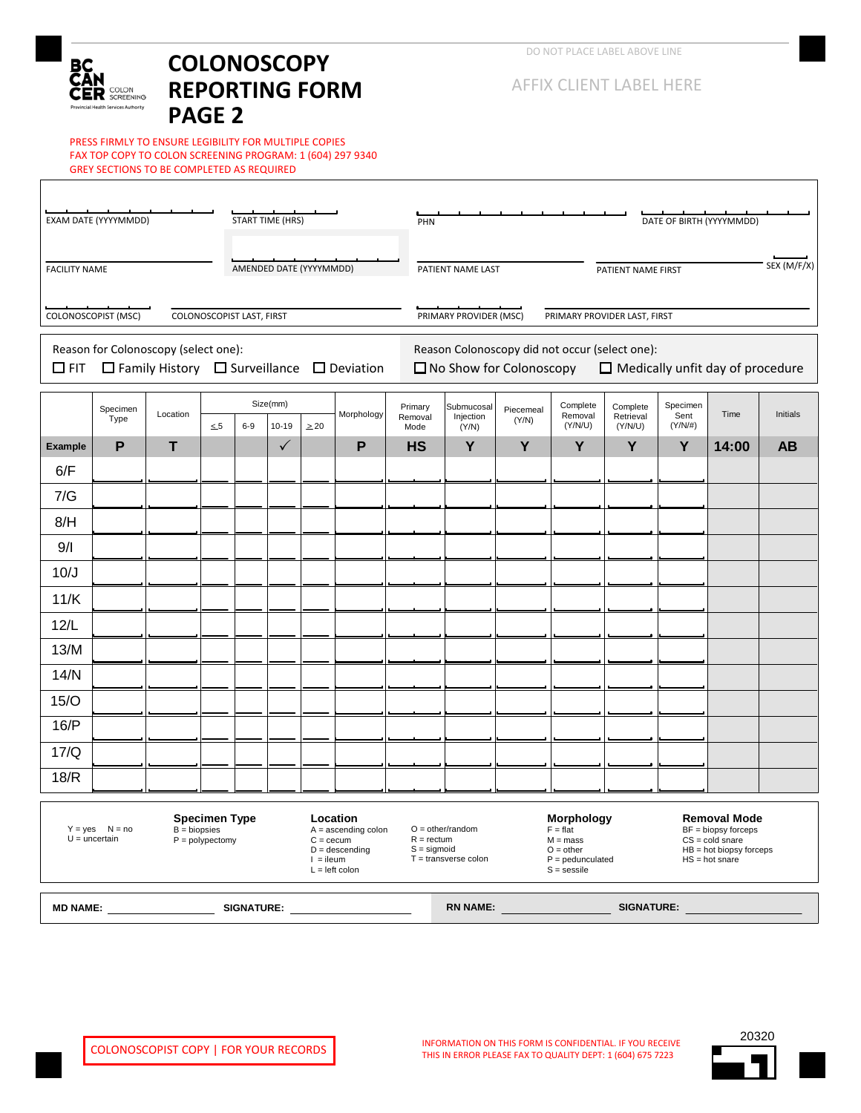## вc R COLON an Araba

# **COLONOSCOPY REPORTING FORM PAGE 2**

PRESS FIRMLY TO ENSURE LEGIBILITY FOR MULTIPLE COPIES FAX TOP COPY TO COLON SCREENING PROGRAM: 1 (604) 297 9340 GREY SECTIONS TO BE COMPLETED AS REQUIRED

| EXAM DATE (YYYYMMDD)<br><b>START TIME (HRS)</b>                                                                                                                                                                                                                 |                                      |                                                            |          |                         |              |                       |   | PHN                                                                                                                                                                                                                                                                                     |                                                                                                                                                                                                                                                                                                                |       |                   |           |            | DATE OF BIRTH (YYYYMMDD) |           |  |
|-----------------------------------------------------------------------------------------------------------------------------------------------------------------------------------------------------------------------------------------------------------------|--------------------------------------|------------------------------------------------------------|----------|-------------------------|--------------|-----------------------|---|-----------------------------------------------------------------------------------------------------------------------------------------------------------------------------------------------------------------------------------------------------------------------------------------|----------------------------------------------------------------------------------------------------------------------------------------------------------------------------------------------------------------------------------------------------------------------------------------------------------------|-------|-------------------|-----------|------------|--------------------------|-----------|--|
| <b>FACILITY NAME</b>                                                                                                                                                                                                                                            |                                      |                                                            |          | AMENDED DATE (YYYYMMDD) |              |                       |   |                                                                                                                                                                                                                                                                                         | SEX (M/F/X)<br>PATIENT NAME LAST<br>PATIENT NAME FIRST<br>PRIMARY PROVIDER (MSC)<br>PRIMARY PROVIDER LAST, FIRST<br>Reason Colonoscopy did not occur (select one):<br>$\Box$ No Show for Colonoscopy<br>$\Box$ Medically unfit day of procedure<br>Specimen<br>Complete<br>Complete<br>Submucosal<br>Piecemeal |       |                   |           |            |                          |           |  |
| COLONOSCOPIST (MSC)<br>COLONOSCOPIST LAST, FIRST                                                                                                                                                                                                                |                                      |                                                            |          |                         |              |                       |   |                                                                                                                                                                                                                                                                                         |                                                                                                                                                                                                                                                                                                                |       |                   |           |            |                          |           |  |
| $\Box$ FIT                                                                                                                                                                                                                                                      | Reason for Colonoscopy (select one): | $\Box$ Family History $\Box$ Surveillance $\Box$ Deviation |          |                         |              |                       |   |                                                                                                                                                                                                                                                                                         |                                                                                                                                                                                                                                                                                                                |       |                   |           |            |                          |           |  |
|                                                                                                                                                                                                                                                                 | Specimen<br>Type                     | Location                                                   |          |                         | Size(mm)     | Morphology            |   | Primary<br>Removal                                                                                                                                                                                                                                                                      | Injection                                                                                                                                                                                                                                                                                                      |       | Removal           | Retrieval | Sent       | Time                     | Initials  |  |
|                                                                                                                                                                                                                                                                 |                                      |                                                            | $\leq 5$ | $6-9$                   | $10 - 19$    | $\geq 20$             |   | Mode                                                                                                                                                                                                                                                                                    | (Y/N)                                                                                                                                                                                                                                                                                                          | (Y/N) | (Y/N/U)           | (Y/N/U)   | $(Y/N/\#)$ |                          |           |  |
| <b>Example</b><br>6/F                                                                                                                                                                                                                                           | P                                    | т                                                          |          |                         | $\checkmark$ |                       | P | <b>HS</b>                                                                                                                                                                                                                                                                               | Υ                                                                                                                                                                                                                                                                                                              | Υ     | Y                 | Y         | Y          | 14:00                    | <b>AB</b> |  |
| 7/G                                                                                                                                                                                                                                                             |                                      |                                                            |          |                         |              |                       |   |                                                                                                                                                                                                                                                                                         |                                                                                                                                                                                                                                                                                                                |       |                   |           |            |                          |           |  |
| 8/H                                                                                                                                                                                                                                                             |                                      |                                                            |          |                         |              |                       |   |                                                                                                                                                                                                                                                                                         |                                                                                                                                                                                                                                                                                                                |       |                   |           |            |                          |           |  |
| 9/1                                                                                                                                                                                                                                                             |                                      |                                                            |          |                         |              |                       |   |                                                                                                                                                                                                                                                                                         |                                                                                                                                                                                                                                                                                                                |       |                   |           |            |                          |           |  |
| 10/J                                                                                                                                                                                                                                                            |                                      |                                                            |          |                         |              |                       |   |                                                                                                                                                                                                                                                                                         |                                                                                                                                                                                                                                                                                                                |       |                   |           |            |                          |           |  |
| 11/K                                                                                                                                                                                                                                                            |                                      |                                                            |          |                         |              |                       |   |                                                                                                                                                                                                                                                                                         |                                                                                                                                                                                                                                                                                                                |       |                   |           |            |                          |           |  |
| 12/L                                                                                                                                                                                                                                                            |                                      |                                                            |          |                         |              |                       |   |                                                                                                                                                                                                                                                                                         |                                                                                                                                                                                                                                                                                                                |       |                   |           |            |                          |           |  |
| 13/M                                                                                                                                                                                                                                                            |                                      |                                                            |          |                         |              |                       |   |                                                                                                                                                                                                                                                                                         |                                                                                                                                                                                                                                                                                                                |       |                   |           |            |                          |           |  |
| 14/N                                                                                                                                                                                                                                                            |                                      |                                                            |          |                         |              |                       |   |                                                                                                                                                                                                                                                                                         |                                                                                                                                                                                                                                                                                                                |       |                   |           |            |                          |           |  |
| 15/O                                                                                                                                                                                                                                                            |                                      |                                                            |          |                         |              |                       |   |                                                                                                                                                                                                                                                                                         |                                                                                                                                                                                                                                                                                                                |       |                   |           |            |                          |           |  |
| 16/P                                                                                                                                                                                                                                                            |                                      |                                                            |          |                         |              |                       |   |                                                                                                                                                                                                                                                                                         |                                                                                                                                                                                                                                                                                                                |       |                   |           |            |                          |           |  |
| 17/Q                                                                                                                                                                                                                                                            |                                      |                                                            |          |                         |              |                       |   |                                                                                                                                                                                                                                                                                         |                                                                                                                                                                                                                                                                                                                |       |                   |           |            |                          |           |  |
| 18/R                                                                                                                                                                                                                                                            |                                      |                                                            |          |                         |              |                       |   |                                                                                                                                                                                                                                                                                         |                                                                                                                                                                                                                                                                                                                |       |                   |           |            |                          |           |  |
| Location<br>Specimen Type<br>$Y = yes$ $N = no$<br>$B = biopsies$<br>$U =$ uncertain<br>$P = polypectomy$<br>$C =$ cecum<br>$D =$ descending<br>$l =$ ileum<br>$L = left$ colon                                                                                 |                                      |                                                            |          |                         |              | $A =$ ascending colon |   | Morphology<br>Removal Mode<br>$O = other/random$<br>BF = biopsy forceps<br>$F = flat$<br>$R = rectum$<br>$CS = cold\,$<br>$M = mass$<br>$S =$ sigmoid<br>$HB = hot biopy$ forceps<br>$O = other$<br>$T =$ transverse colon<br>$P =$ pedunculated<br>$HS = hot\, share$<br>$S =$ sessile |                                                                                                                                                                                                                                                                                                                |       |                   |           |            |                          |           |  |
| <b>RN NAME:</b><br>SIGNATURE:<br>MD NAME: And the state of the state of the state of the state of the state of the state of the state of the state of the state of the state of the state of the state of the state of the state of the state of the state of t |                                      |                                                            |          |                         |              |                       |   |                                                                                                                                                                                                                                                                                         |                                                                                                                                                                                                                                                                                                                |       | <b>SIGNATURE:</b> |           |            |                          |           |  |